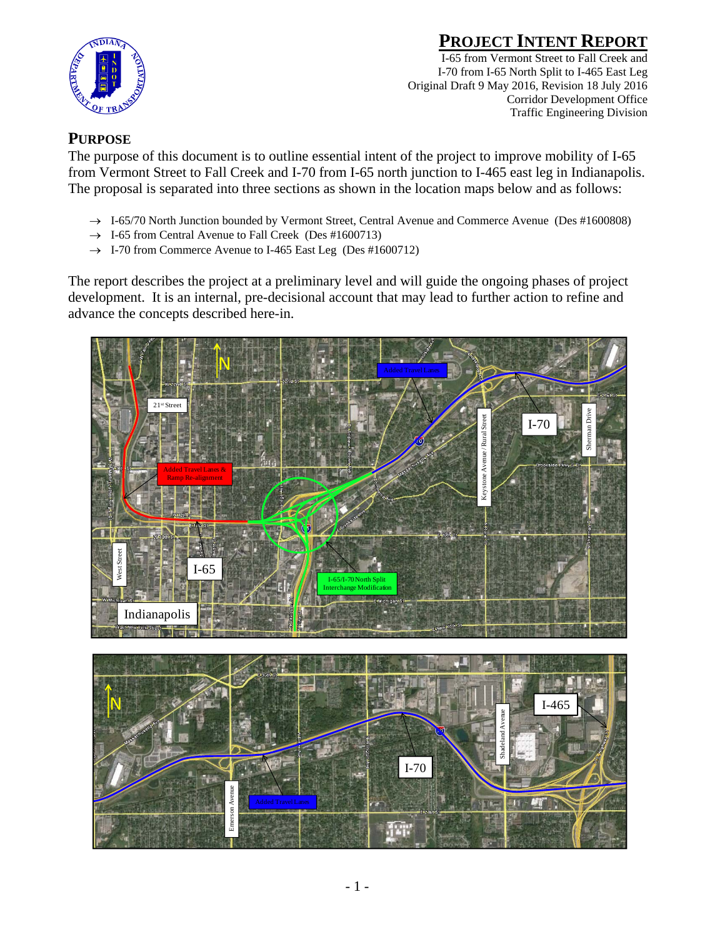

I-65 from Vermont Street to Fall Creek and I-70 from I-65 North Split to I-465 East Leg Original Draft 9 May 2016, Revision 18 July 2016 Corridor Development Office Traffic Engineering Division

### **PURPOSE**

The purpose of this document is to outline essential intent of the project to improve mobility of I-65 from Vermont Street to Fall Creek and I-70 from I-65 north junction to I-465 east leg in Indianapolis. The proposal is separated into three sections as shown in the location maps below and as follows:

- $\rightarrow$  I-65/70 North Junction bounded by Vermont Street, Central Avenue and Commerce Avenue (Des #1600808)
- $\rightarrow$  I-65 from Central Avenue to Fall Creek (Des #1600713)
- $\rightarrow$  I-70 from Commerce Avenue to I-465 East Leg (Des #1600712)

The report describes the project at a preliminary level and will guide the ongoing phases of project development. It is an internal, pre-decisional account that may lead to further action to refine and advance the concepts described here-in.



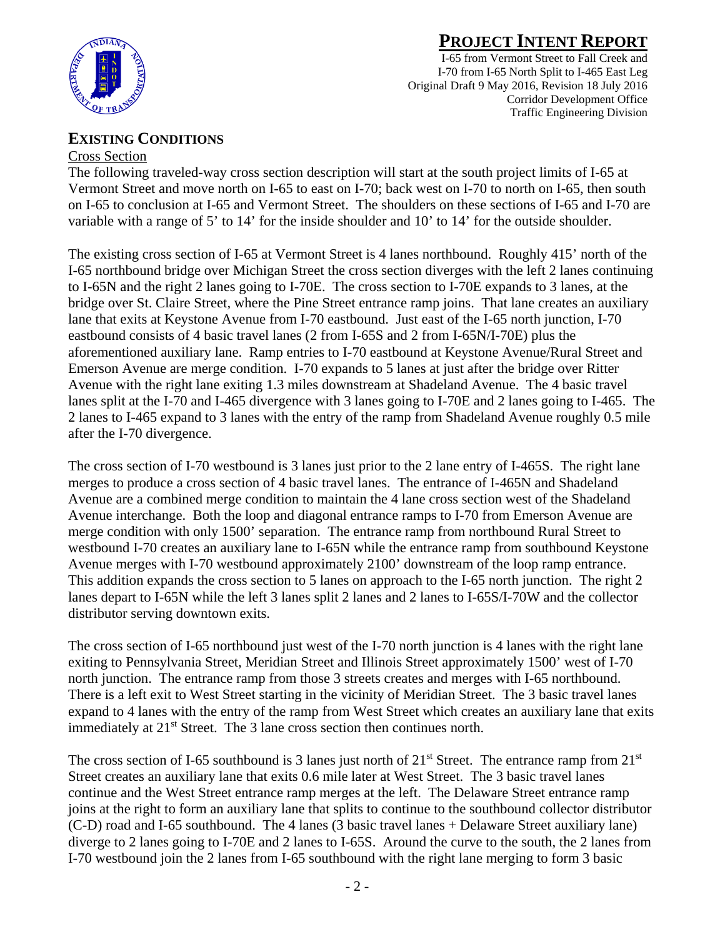

I-65 from Vermont Street to Fall Creek and I-70 from I-65 North Split to I-465 East Leg Original Draft 9 May 2016, Revision 18 July 2016 Corridor Development Office Traffic Engineering Division

#### **EXISTING CONDITIONS**

#### Cross Section

The following traveled-way cross section description will start at the south project limits of I-65 at Vermont Street and move north on I-65 to east on I-70; back west on I-70 to north on I-65, then south on I-65 to conclusion at I-65 and Vermont Street. The shoulders on these sections of I-65 and I-70 are variable with a range of 5' to 14' for the inside shoulder and 10' to 14' for the outside shoulder.

The existing cross section of I-65 at Vermont Street is 4 lanes northbound. Roughly 415' north of the I-65 northbound bridge over Michigan Street the cross section diverges with the left 2 lanes continuing to I-65N and the right 2 lanes going to I-70E. The cross section to I-70E expands to 3 lanes, at the bridge over St. Claire Street, where the Pine Street entrance ramp joins. That lane creates an auxiliary lane that exits at Keystone Avenue from I-70 eastbound. Just east of the I-65 north junction, I-70 eastbound consists of 4 basic travel lanes (2 from I-65S and 2 from I-65N/I-70E) plus the aforementioned auxiliary lane. Ramp entries to I-70 eastbound at Keystone Avenue/Rural Street and Emerson Avenue are merge condition. I-70 expands to 5 lanes at just after the bridge over Ritter Avenue with the right lane exiting 1.3 miles downstream at Shadeland Avenue. The 4 basic travel lanes split at the I-70 and I-465 divergence with 3 lanes going to I-70E and 2 lanes going to I-465. The 2 lanes to I-465 expand to 3 lanes with the entry of the ramp from Shadeland Avenue roughly 0.5 mile after the I-70 divergence.

The cross section of I-70 westbound is 3 lanes just prior to the 2 lane entry of I-465S. The right lane merges to produce a cross section of 4 basic travel lanes. The entrance of I-465N and Shadeland Avenue are a combined merge condition to maintain the 4 lane cross section west of the Shadeland Avenue interchange. Both the loop and diagonal entrance ramps to I-70 from Emerson Avenue are merge condition with only 1500' separation. The entrance ramp from northbound Rural Street to westbound I-70 creates an auxiliary lane to I-65N while the entrance ramp from southbound Keystone Avenue merges with I-70 westbound approximately 2100' downstream of the loop ramp entrance. This addition expands the cross section to 5 lanes on approach to the I-65 north junction. The right 2 lanes depart to I-65N while the left 3 lanes split 2 lanes and 2 lanes to I-65S/I-70W and the collector distributor serving downtown exits.

The cross section of I-65 northbound just west of the I-70 north junction is 4 lanes with the right lane exiting to Pennsylvania Street, Meridian Street and Illinois Street approximately 1500' west of I-70 north junction. The entrance ramp from those 3 streets creates and merges with I-65 northbound. There is a left exit to West Street starting in the vicinity of Meridian Street. The 3 basic travel lanes expand to 4 lanes with the entry of the ramp from West Street which creates an auxiliary lane that exits immediately at 21<sup>st</sup> Street. The 3 lane cross section then continues north.

The cross section of I-65 southbound is 3 lanes just north of  $21<sup>st</sup>$  Street. The entrance ramp from  $21<sup>st</sup>$ Street creates an auxiliary lane that exits 0.6 mile later at West Street. The 3 basic travel lanes continue and the West Street entrance ramp merges at the left. The Delaware Street entrance ramp joins at the right to form an auxiliary lane that splits to continue to the southbound collector distributor (C-D) road and I-65 southbound. The 4 lanes (3 basic travel lanes + Delaware Street auxiliary lane) diverge to 2 lanes going to I-70E and 2 lanes to I-65S. Around the curve to the south, the 2 lanes from I-70 westbound join the 2 lanes from I-65 southbound with the right lane merging to form 3 basic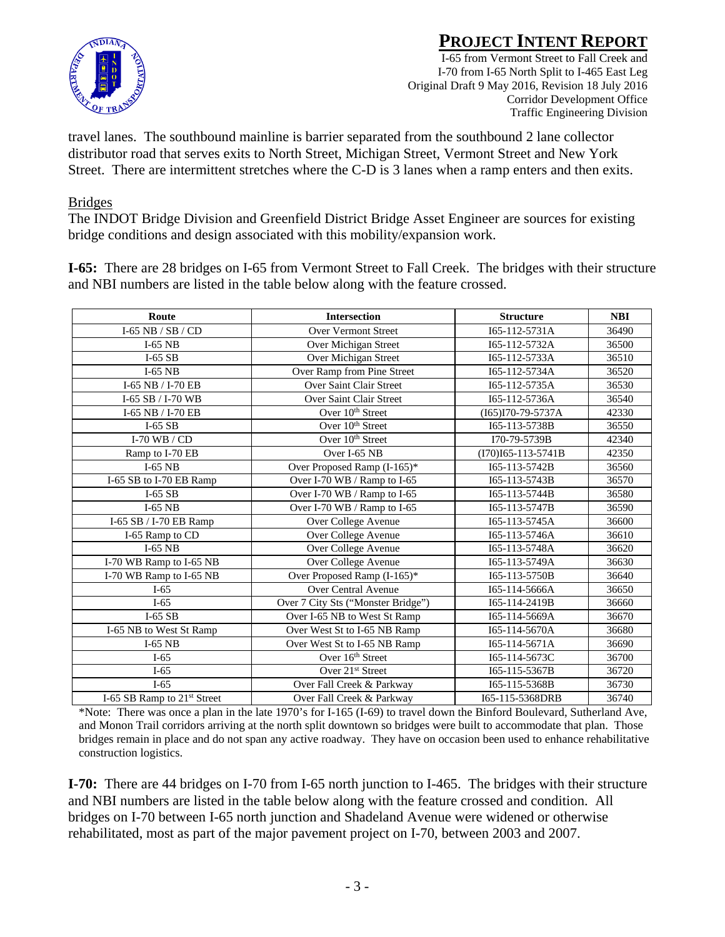

I-65 from Vermont Street to Fall Creek and I-70 from I-65 North Split to I-465 East Leg Original Draft 9 May 2016, Revision 18 July 2016 Corridor Development Office Traffic Engineering Division

travel lanes. The southbound mainline is barrier separated from the southbound 2 lane collector distributor road that serves exits to North Street, Michigan Street, Vermont Street and New York Street. There are intermittent stretches where the C-D is 3 lanes when a ramp enters and then exits.

#### Bridges

The INDOT Bridge Division and Greenfield District Bridge Asset Engineer are sources for existing bridge conditions and design associated with this mobility/expansion work.

**I-65:** There are 28 bridges on I-65 from Vermont Street to Fall Creek. The bridges with their structure and NBI numbers are listed in the table below along with the feature crossed.

| Route                         | <b>Intersection</b>                | <b>Structure</b>     | <b>NBI</b> |
|-------------------------------|------------------------------------|----------------------|------------|
| $I-65$ NB / SB / CD           | <b>Over Vermont Street</b>         | I65-112-5731A        | 36490      |
| $I-65$ NB                     | Over Michigan Street               | I65-112-5732A        | 36500      |
| $I-65$ SB                     | Over Michigan Street               | I65-112-5733A        | 36510      |
| $I-65$ NB                     | Over Ramp from Pine Street         | I65-112-5734A        | 36520      |
| I-65 NB / I-70 EB             | Over Saint Clair Street            | I65-112-5735A        | 36530      |
| I-65 SB / I-70 WB             | Over Saint Clair Street            | I65-112-5736A        | 36540      |
| I-65 NB / I-70 EB             | Over $10th$ Street                 | $(I65)I70-79-5737A$  | 42330      |
| $I-65$ SB                     | Over $10th$ Street                 | I65-113-5738B        | 36550      |
| I-70 WB $/CD$                 | Over $10th$ Street                 | I70-79-5739B         | 42340      |
| Ramp to I-70 EB               | Over I-65 NB                       | $(I70)I65-113-5741B$ | 42350      |
| $I-65$ NB                     | Over Proposed Ramp (I-165)*        | I65-113-5742B        | 36560      |
| I-65 SB to I-70 EB Ramp       | Over I-70 WB / Ramp to I-65        | I65-113-5743B        | 36570      |
| $I-65$ SB                     | Over I-70 WB / Ramp to I-65        | I65-113-5744B        | 36580      |
| $I-65$ NB                     | Over I-70 WB / Ramp to I-65        | I65-113-5747B        | 36590      |
| I-65 SB / I-70 EB Ramp        | Over College Avenue                | I65-113-5745A        | 36600      |
| I-65 Ramp to CD               | Over College Avenue                | I65-113-5746A        | 36610      |
| $I-65$ NB                     | Over College Avenue                | I65-113-5748A        | 36620      |
| I-70 WB Ramp to I-65 NB       | Over College Avenue                | I65-113-5749A        | 36630      |
| I-70 WB Ramp to I-65 NB       | Over Proposed Ramp (I-165)*        | I65-113-5750B        | 36640      |
| $I-65$                        | Over Central Avenue                | I65-114-5666A        | 36650      |
| $I-65$                        | Over 7 City Sts ("Monster Bridge") | I65-114-2419B        | 36660      |
| $I-65$ SB                     | Over I-65 NB to West St Ramp       | I65-114-5669A        | 36670      |
| I-65 NB to West St Ramp       | Over West St to I-65 NB Ramp       | I65-114-5670A        | 36680      |
| $I-65$ NB                     | Over West St to I-65 NB Ramp       | I65-114-5671A        | 36690      |
| $I-65$                        | Over 16th Street                   | I65-114-5673C        | 36700      |
| $I-65$                        | Over 21 <sup>st</sup> Street       | I65-115-5367B        | 36720      |
| $I-65$                        | Over Fall Creek & Parkway          | I65-115-5368B        | 36730      |
| I-65 SB Ramp to $21st$ Street | Over Fall Creek & Parkway          | I65-115-5368DRB      | 36740      |

\*Note: There was once a plan in the late 1970's for I-165 (I-69) to travel down the Binford Boulevard, Sutherland Ave, and Monon Trail corridors arriving at the north split downtown so bridges were built to accommodate that plan. Those bridges remain in place and do not span any active roadway. They have on occasion been used to enhance rehabilitative construction logistics.

**I-70:** There are 44 bridges on I-70 from I-65 north junction to I-465. The bridges with their structure and NBI numbers are listed in the table below along with the feature crossed and condition. All bridges on I-70 between I-65 north junction and Shadeland Avenue were widened or otherwise rehabilitated, most as part of the major pavement project on I-70, between 2003 and 2007.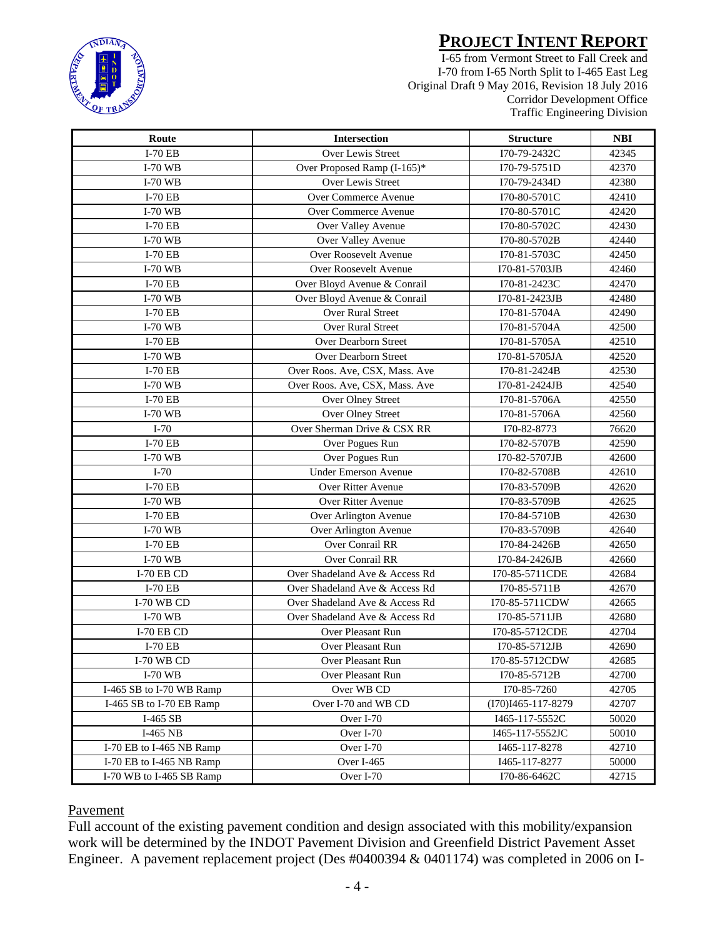

I-65 from Vermont Street to Fall Creek and I-70 from I-65 North Split to I-465 East Leg Original Draft 9 May 2016, Revision 18 July 2016 Corridor Development Office Traffic Engineering Division

| Route                    | <b>Intersection</b>            | <b>Structure</b>   | <b>NBI</b> |
|--------------------------|--------------------------------|--------------------|------------|
| <b>I-70 EB</b>           | Over Lewis Street              | I70-79-2432C       | 42345      |
| <b>I-70 WB</b>           | Over Proposed Ramp (I-165)*    | I70-79-5751D       | 42370      |
| <b>I-70 WB</b>           | Over Lewis Street              | I70-79-2434D       | 42380      |
| $I-70EB$                 | Over Commerce Avenue           | I70-80-5701C       | 42410      |
| $I-70$ WB                | Over Commerce Avenue           | I70-80-5701C       | 42420      |
| $I-70EB$                 | Over Valley Avenue             | I70-80-5702C       | 42430      |
| <b>I-70 WB</b>           | Over Valley Avenue             | I70-80-5702B       | 42440      |
| $I-70EB$                 | Over Roosevelt Avenue          | I70-81-5703C       | 42450      |
| I-70 WB                  | Over Roosevelt Avenue          | I70-81-5703JB      | 42460      |
| <b>I-70 EB</b>           | Over Bloyd Avenue & Conrail    | I70-81-2423C       | 42470      |
| I-70 WB                  | Over Bloyd Avenue & Conrail    | I70-81-2423JB      | 42480      |
| <b>I-70 EB</b>           | Over Rural Street              | I70-81-5704A       | 42490      |
| <b>I-70 WB</b>           | Over Rural Street              | I70-81-5704A       | 42500      |
| <b>I-70 EB</b>           | Over Dearborn Street           | I70-81-5705A       | 42510      |
| I-70 WB                  | Over Dearborn Street           | I70-81-5705JA      | 42520      |
| <b>I-70 EB</b>           | Over Roos. Ave, CSX, Mass. Ave | I70-81-2424B       | 42530      |
| <b>I-70 WB</b>           | Over Roos. Ave, CSX, Mass. Ave | I70-81-2424JB      | 42540      |
| <b>I-70 EB</b>           | Over Olney Street              | I70-81-5706A       | 42550      |
| I-70 WB                  | Over Olney Street              | I70-81-5706A       | 42560      |
| $I-70$                   | Over Sherman Drive & CSX RR    | I70-82-8773        | 76620      |
| <b>I-70 EB</b>           | Over Pogues Run                | I70-82-5707B       | 42590      |
| <b>I-70 WB</b>           | Over Pogues Run                | I70-82-5707JB      | 42600      |
| $I-70$                   | <b>Under Emerson Avenue</b>    | I70-82-5708B       | 42610      |
| <b>I-70 EB</b>           | Over Ritter Avenue             | I70-83-5709B       | 42620      |
| <b>I-70 WB</b>           | Over Ritter Avenue             | I70-83-5709B       | 42625      |
| I-70 EB                  | Over Arlington Avenue          | I70-84-5710B       | 42630      |
| $I-70$ WB                | Over Arlington Avenue          | I70-83-5709B       | 42640      |
| $I-70EB$                 | Over Conrail RR                | I70-84-2426B       | 42650      |
| $I-70$ WB                | <b>Over Conrail RR</b>         | I70-84-2426JB      | 42660      |
| <b>I-70 EB CD</b>        | Over Shadeland Ave & Access Rd | I70-85-5711CDE     | 42684      |
| I-70 EB                  | Over Shadeland Ave & Access Rd | I70-85-5711B       | 42670      |
| I-70 WB CD               | Over Shadeland Ave & Access Rd | I70-85-5711CDW     | 42665      |
| I-70 WB                  | Over Shadeland Ave & Access Rd | I70-85-5711JB      | 42680      |
| $I-70$ EB CD             | Over Pleasant Run              | I70-85-5712CDE     | 42704      |
| <b>I-70 EB</b>           | Over Pleasant Run              | I70-85-5712JB      | 42690      |
| I-70 WB CD               | Over Pleasant Run              | I70-85-5712CDW     | 42685      |
| $I-70$ WB                | Over Pleasant Run              | I70-85-5712B       | 42700      |
| I-465 SB to I-70 WB Ramp | Over WB CD                     | I70-85-7260        | 42705      |
| I-465 SB to I-70 EB Ramp | Over I-70 and WB CD            | (I70)I465-117-8279 | 42707      |
| I-465 SB                 | Over I-70                      | I465-117-5552C     | 50020      |
| I-465 NB                 | Over I-70                      | I465-117-5552JC    | 50010      |
| I-70 EB to I-465 NB Ramp | Over I-70                      | I465-117-8278      | 42710      |
| I-70 EB to I-465 NB Ramp | Over I-465                     | I465-117-8277      | 50000      |
| I-70 WB to I-465 SB Ramp | Over I-70                      | I70-86-6462C       | 42715      |

#### **Pavement**

Full account of the existing pavement condition and design associated with this mobility/expansion work will be determined by the INDOT Pavement Division and Greenfield District Pavement Asset Engineer. A pavement replacement project (Des #0400394 & 0401174) was completed in 2006 on I-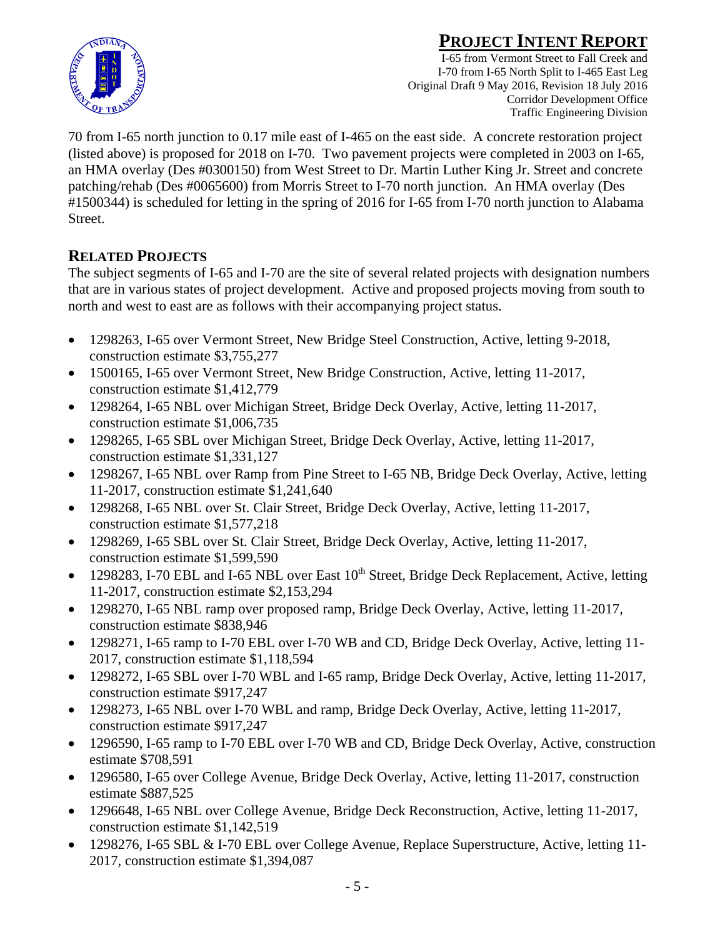

I-65 from Vermont Street to Fall Creek and I-70 from I-65 North Split to I-465 East Leg Original Draft 9 May 2016, Revision 18 July 2016 Corridor Development Office Traffic Engineering Division

70 from I-65 north junction to 0.17 mile east of I-465 on the east side. A concrete restoration project (listed above) is proposed for 2018 on I-70. Two pavement projects were completed in 2003 on I-65, an HMA overlay (Des #0300150) from West Street to Dr. Martin Luther King Jr. Street and concrete patching/rehab (Des #0065600) from Morris Street to I-70 north junction. An HMA overlay (Des #1500344) is scheduled for letting in the spring of 2016 for I-65 from I-70 north junction to Alabama Street.

### **RELATED PROJECTS**

The subject segments of I-65 and I-70 are the site of several related projects with designation numbers that are in various states of project development. Active and proposed projects moving from south to north and west to east are as follows with their accompanying project status.

- 1298263, I-65 over Vermont Street, New Bridge Steel Construction, Active, letting 9-2018, construction estimate \$3,755,277
- 1500165, I-65 over Vermont Street, New Bridge Construction, Active, letting 11-2017, construction estimate \$1,412,779
- 1298264, I-65 NBL over Michigan Street, Bridge Deck Overlay, Active, letting 11-2017, construction estimate \$1,006,735
- 1298265, I-65 SBL over Michigan Street, Bridge Deck Overlay, Active, letting 11-2017, construction estimate \$1,331,127
- 1298267, I-65 NBL over Ramp from Pine Street to I-65 NB, Bridge Deck Overlay, Active, letting 11-2017, construction estimate \$1,241,640
- 1298268, I-65 NBL over St. Clair Street, Bridge Deck Overlay, Active, letting 11-2017, construction estimate \$1,577,218
- 1298269, I-65 SBL over St. Clair Street, Bridge Deck Overlay, Active, letting 11-2017, construction estimate \$1,599,590
- 1298283, I-70 EBL and I-65 NBL over East  $10^{th}$  Street, Bridge Deck Replacement, Active, letting 11-2017, construction estimate \$2,153,294
- 1298270, I-65 NBL ramp over proposed ramp, Bridge Deck Overlay, Active, letting 11-2017, construction estimate \$838,946
- 1298271, I-65 ramp to I-70 EBL over I-70 WB and CD, Bridge Deck Overlay, Active, letting 11-2017, construction estimate \$1,118,594
- 1298272, I-65 SBL over I-70 WBL and I-65 ramp, Bridge Deck Overlay, Active, letting 11-2017, construction estimate \$917,247
- 1298273, I-65 NBL over I-70 WBL and ramp, Bridge Deck Overlay, Active, letting 11-2017, construction estimate \$917,247
- 1296590, I-65 ramp to I-70 EBL over I-70 WB and CD, Bridge Deck Overlay, Active, construction estimate \$708,591
- 1296580, I-65 over College Avenue, Bridge Deck Overlay, Active, letting 11-2017, construction estimate \$887,525
- 1296648, I-65 NBL over College Avenue, Bridge Deck Reconstruction, Active, letting 11-2017, construction estimate \$1,142,519
- 1298276, I-65 SBL & I-70 EBL over College Avenue, Replace Superstructure, Active, letting 11-2017, construction estimate \$1,394,087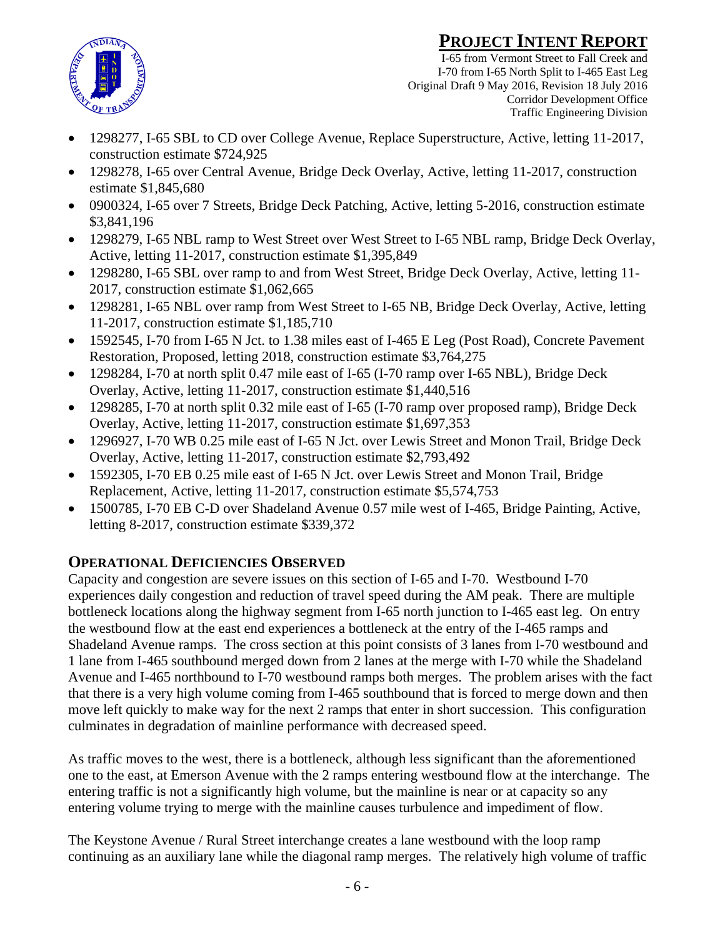

I-65 from Vermont Street to Fall Creek and I-70 from I-65 North Split to I-465 East Leg Original Draft 9 May 2016, Revision 18 July 2016 Corridor Development Office Traffic Engineering Division

- 1298277, I-65 SBL to CD over College Avenue, Replace Superstructure, Active, letting 11-2017, construction estimate \$724,925
- 1298278, I-65 over Central Avenue, Bridge Deck Overlay, Active, letting 11-2017, construction estimate \$1,845,680
- 0900324, I-65 over 7 Streets, Bridge Deck Patching, Active, letting 5-2016, construction estimate \$3,841,196
- 1298279, I-65 NBL ramp to West Street over West Street to I-65 NBL ramp, Bridge Deck Overlay, Active, letting 11-2017, construction estimate \$1,395,849
- 1298280, I-65 SBL over ramp to and from West Street, Bridge Deck Overlay, Active, letting 11- 2017, construction estimate \$1,062,665
- 1298281, I-65 NBL over ramp from West Street to I-65 NB, Bridge Deck Overlay, Active, letting 11-2017, construction estimate \$1,185,710
- 1592545, I-70 from I-65 N Jct. to 1.38 miles east of I-465 E Leg (Post Road), Concrete Pavement Restoration, Proposed, letting 2018, construction estimate \$3,764,275
- 1298284, I-70 at north split 0.47 mile east of I-65 (I-70 ramp over I-65 NBL), Bridge Deck Overlay, Active, letting 11-2017, construction estimate \$1,440,516
- 1298285, I-70 at north split 0.32 mile east of I-65 (I-70 ramp over proposed ramp), Bridge Deck Overlay, Active, letting 11-2017, construction estimate \$1,697,353
- 1296927, I-70 WB 0.25 mile east of I-65 N Jct. over Lewis Street and Monon Trail, Bridge Deck Overlay, Active, letting 11-2017, construction estimate \$2,793,492
- 1592305, I-70 EB 0.25 mile east of I-65 N Jct. over Lewis Street and Monon Trail, Bridge Replacement, Active, letting 11-2017, construction estimate \$5,574,753
- 1500785, I-70 EB C-D over Shadeland Avenue 0.57 mile west of I-465, Bridge Painting, Active, letting 8-2017, construction estimate \$339,372

## **OPERATIONAL DEFICIENCIES OBSERVED**

Capacity and congestion are severe issues on this section of I-65 and I-70. Westbound I-70 experiences daily congestion and reduction of travel speed during the AM peak. There are multiple bottleneck locations along the highway segment from I-65 north junction to I-465 east leg. On entry the westbound flow at the east end experiences a bottleneck at the entry of the I-465 ramps and Shadeland Avenue ramps. The cross section at this point consists of 3 lanes from I-70 westbound and 1 lane from I-465 southbound merged down from 2 lanes at the merge with I-70 while the Shadeland Avenue and I-465 northbound to I-70 westbound ramps both merges. The problem arises with the fact that there is a very high volume coming from I-465 southbound that is forced to merge down and then move left quickly to make way for the next 2 ramps that enter in short succession. This configuration culminates in degradation of mainline performance with decreased speed.

As traffic moves to the west, there is a bottleneck, although less significant than the aforementioned one to the east, at Emerson Avenue with the 2 ramps entering westbound flow at the interchange. The entering traffic is not a significantly high volume, but the mainline is near or at capacity so any entering volume trying to merge with the mainline causes turbulence and impediment of flow.

The Keystone Avenue / Rural Street interchange creates a lane westbound with the loop ramp continuing as an auxiliary lane while the diagonal ramp merges. The relatively high volume of traffic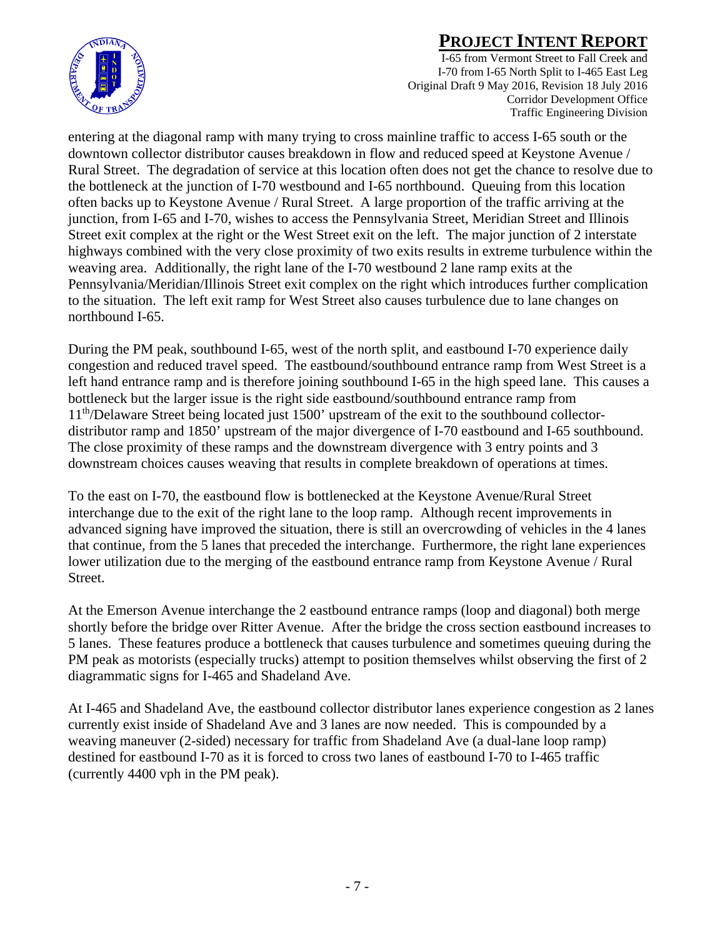

I-65 from Vermont Street to Fall Creek and I-70 from I-65 North Split to I-465 East Leg Original Draft 9 May 2016, Revision 18 July 2016 Corridor Development Office Traffic Engineering Division

entering at the diagonal ramp with many trying to cross mainline traffic to access I-65 south or the downtown collector distributor causes breakdown in flow and reduced speed at Keystone Avenue / Rural Street. The degradation of service at this location often does not get the chance to resolve due to the bottleneck at the junction of I-70 westbound and I-65 northbound. Queuing from this location often backs up to Keystone Avenue / Rural Street. A large proportion of the traffic arriving at the junction, from I-65 and I-70, wishes to access the Pennsylvania Street, Meridian Street and Illinois Street exit complex at the right or the West Street exit on the left. The major junction of 2 interstate highways combined with the very close proximity of two exits results in extreme turbulence within the weaving area. Additionally, the right lane of the I-70 westbound 2 lane ramp exits at the Pennsylvania/Meridian/Illinois Street exit complex on the right which introduces further complication to the situation. The left exit ramp for West Street also causes turbulence due to lane changes on northbound I-65.

During the PM peak, southbound I-65, west of the north split, and eastbound I-70 experience daily congestion and reduced travel speed. The eastbound/southbound entrance ramp from West Street is a left hand entrance ramp and is therefore joining southbound I-65 in the high speed lane. This causes a bottleneck but the larger issue is the right side eastbound/southbound entrance ramp from 11th/Delaware Street being located just 1500' upstream of the exit to the southbound collectordistributor ramp and 1850' upstream of the major divergence of I-70 eastbound and I-65 southbound. The close proximity of these ramps and the downstream divergence with 3 entry points and 3 downstream choices causes weaving that results in complete breakdown of operations at times.

To the east on I-70, the eastbound flow is bottlenecked at the Keystone Avenue/Rural Street interchange due to the exit of the right lane to the loop ramp. Although recent improvements in advanced signing have improved the situation, there is still an overcrowding of vehicles in the 4 lanes that continue, from the 5 lanes that preceded the interchange. Furthermore, the right lane experiences lower utilization due to the merging of the eastbound entrance ramp from Keystone Avenue / Rural Street.

At the Emerson Avenue interchange the 2 eastbound entrance ramps (loop and diagonal) both merge shortly before the bridge over Ritter Avenue. After the bridge the cross section eastbound increases to 5 lanes. These features produce a bottleneck that causes turbulence and sometimes queuing during the PM peak as motorists (especially trucks) attempt to position themselves whilst observing the first of 2 diagrammatic signs for I-465 and Shadeland Ave.

At I-465 and Shadeland Ave, the eastbound collector distributor lanes experience congestion as 2 lanes currently exist inside of Shadeland Ave and 3 lanes are now needed. This is compounded by a weaving maneuver (2-sided) necessary for traffic from Shadeland Ave (a dual-lane loop ramp) destined for eastbound I-70 as it is forced to cross two lanes of eastbound I-70 to I-465 traffic (currently 4400 vph in the PM peak).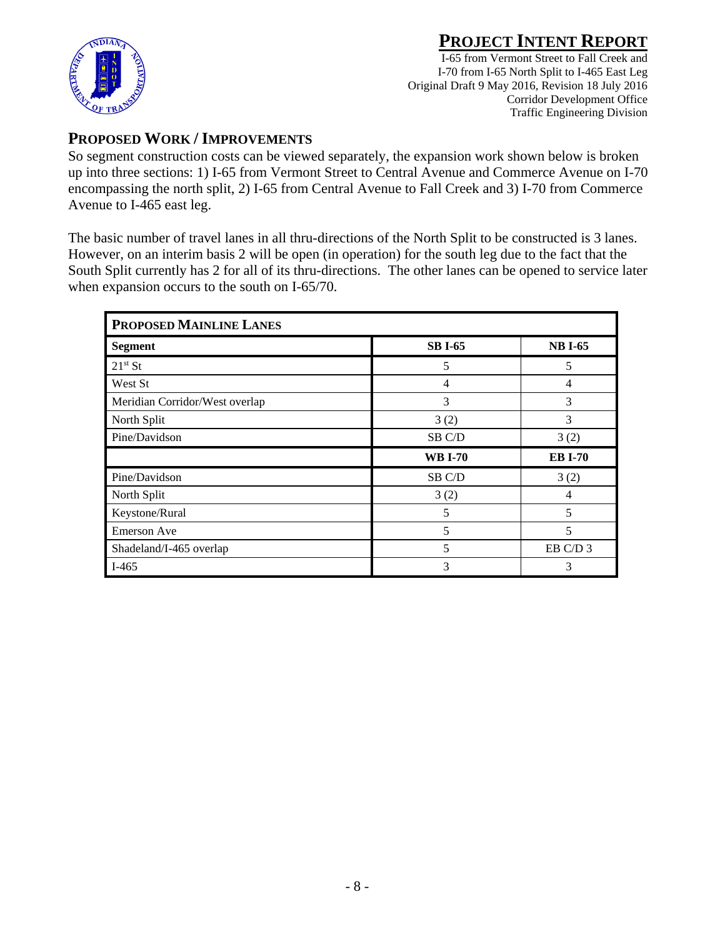

I-65 from Vermont Street to Fall Creek and I-70 from I-65 North Split to I-465 East Leg Original Draft 9 May 2016, Revision 18 July 2016 Corridor Development Office Traffic Engineering Division

### **PROPOSED WORK / IMPROVEMENTS**

So segment construction costs can be viewed separately, the expansion work shown below is broken up into three sections: 1) I-65 from Vermont Street to Central Avenue and Commerce Avenue on I-70 encompassing the north split, 2) I-65 from Central Avenue to Fall Creek and 3) I-70 from Commerce Avenue to I-465 east leg.

The basic number of travel lanes in all thru-directions of the North Split to be constructed is 3 lanes. However, on an interim basis 2 will be open (in operation) for the south leg due to the fact that the South Split currently has 2 for all of its thru-directions. The other lanes can be opened to service later when expansion occurs to the south on I-65/70.

| PROPOSED MAINLINE LANES        |                |                |  |  |  |  |
|--------------------------------|----------------|----------------|--|--|--|--|
| <b>Segment</b>                 | <b>SB I-65</b> | <b>NB I-65</b> |  |  |  |  |
| $21^{st}$ St                   | 5              | 5              |  |  |  |  |
| West St                        | 4              | 4              |  |  |  |  |
| Meridian Corridor/West overlap | 3              | 3              |  |  |  |  |
| North Split                    | 3(2)           | 3              |  |  |  |  |
| Pine/Davidson                  | SB C/D         | 3(2)           |  |  |  |  |
|                                | <b>WB I-70</b> | <b>EB I-70</b> |  |  |  |  |
| Pine/Davidson                  | SB C/D         | 3(2)           |  |  |  |  |
| North Split                    | 3(2)           |                |  |  |  |  |
| Keystone/Rural                 | 5              | 5              |  |  |  |  |
| <b>Emerson Ave</b>             | 5              | 5              |  |  |  |  |
| Shadeland/I-465 overlap        | 5              | EB C/D 3       |  |  |  |  |
| $I-465$                        | 3              | 3              |  |  |  |  |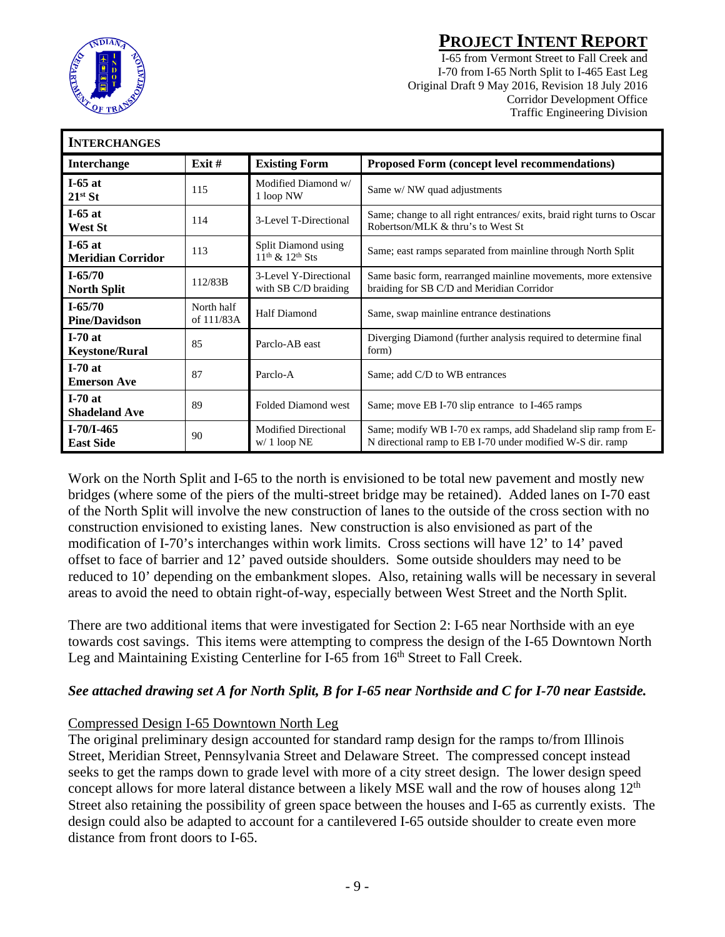

I-65 from Vermont Street to Fall Creek and I-70 from I-65 North Split to I-465 East Leg Original Draft 9 May 2016, Revision 18 July 2016 Corridor Development Office Traffic Engineering Division

| <b>INTERCHANGES</b>                   |                          |                                                  |                                                                                                                              |
|---------------------------------------|--------------------------|--------------------------------------------------|------------------------------------------------------------------------------------------------------------------------------|
| <b>Interchange</b>                    | Exit $#$                 | <b>Existing Form</b>                             | Proposed Form (concept level recommendations)                                                                                |
| I-65 at<br>$21^{st}$ St               | 115                      | Modified Diamond w/<br>1 loop NW                 | Same w/ NW quad adjustments                                                                                                  |
| $I-65$ at<br><b>West St</b>           | 114                      | 3-Level T-Directional                            | Same; change to all right entrances/ exits, braid right turns to Oscar<br>Robertson/MLK & thru's to West St                  |
| $I-65$ at<br><b>Meridian Corridor</b> | 113                      | Split Diamond using<br>$11^{th}$ & $12^{th}$ Sts | Same; east ramps separated from mainline through North Split                                                                 |
| $I - 65/70$<br><b>North Split</b>     | 112/83B                  | 3-Level Y-Directional<br>with SB C/D braiding    | Same basic form, rearranged mainline movements, more extensive<br>braiding for SB C/D and Meridian Corridor                  |
| $I - 65/70$<br><b>Pine/Davidson</b>   | North half<br>of 111/83A | <b>Half Diamond</b>                              | Same, swap mainline entrance destinations                                                                                    |
| $I-70at$<br><b>Keystone/Rural</b>     | 85                       | Parclo-AB east                                   | Diverging Diamond (further analysis required to determine final<br>form)                                                     |
| $I-70at$<br><b>Emerson Ave</b>        | 87                       | Parclo-A                                         | Same; add C/D to WB entrances                                                                                                |
| $I-70at$<br><b>Shadeland Ave</b>      | 89                       | <b>Folded Diamond west</b>                       | Same; move EB I-70 slip entrance to I-465 ramps                                                                              |
| $I - 70/I - 465$<br><b>East Side</b>  | 90                       | <b>Modified Directional</b><br>$w/1$ loop NE     | Same; modify WB I-70 ex ramps, add Shadeland slip ramp from E-<br>N directional ramp to EB I-70 under modified W-S dir. ramp |

Work on the North Split and I-65 to the north is envisioned to be total new pavement and mostly new bridges (where some of the piers of the multi-street bridge may be retained). Added lanes on I-70 east of the North Split will involve the new construction of lanes to the outside of the cross section with no construction envisioned to existing lanes. New construction is also envisioned as part of the modification of I-70's interchanges within work limits. Cross sections will have 12' to 14' paved offset to face of barrier and 12' paved outside shoulders. Some outside shoulders may need to be reduced to 10' depending on the embankment slopes. Also, retaining walls will be necessary in several areas to avoid the need to obtain right-of-way, especially between West Street and the North Split.

There are two additional items that were investigated for Section 2: I-65 near Northside with an eye towards cost savings. This items were attempting to compress the design of the I-65 Downtown North Leg and Maintaining Existing Centerline for I-65 from 16<sup>th</sup> Street to Fall Creek.

#### *See attached drawing set A for North Split, B for I-65 near Northside and C for I-70 near Eastside.*

#### Compressed Design I-65 Downtown North Leg

The original preliminary design accounted for standard ramp design for the ramps to/from Illinois Street, Meridian Street, Pennsylvania Street and Delaware Street. The compressed concept instead seeks to get the ramps down to grade level with more of a city street design. The lower design speed concept allows for more lateral distance between a likely MSE wall and the row of houses along  $12<sup>th</sup>$ Street also retaining the possibility of green space between the houses and I-65 as currently exists. The design could also be adapted to account for a cantilevered I-65 outside shoulder to create even more distance from front doors to I-65.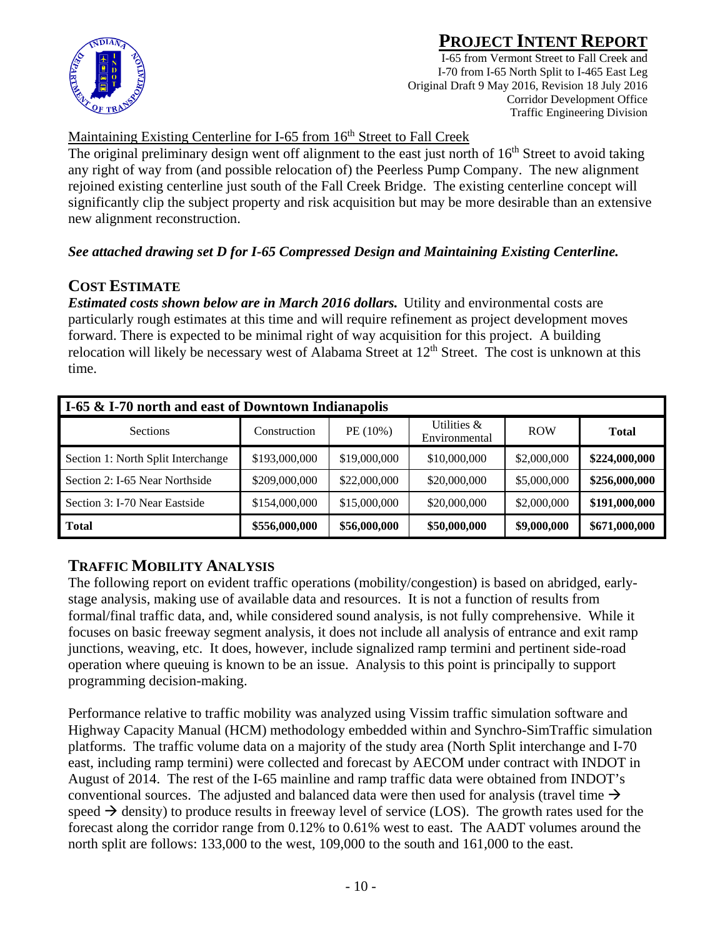



I-65 from Vermont Street to Fall Creek and I-70 from I-65 North Split to I-465 East Leg Original Draft 9 May 2016, Revision 18 July 2016 Corridor Development Office Traffic Engineering Division

#### Maintaining Existing Centerline for I-65 from 16<sup>th</sup> Street to Fall Creek

The original preliminary design went off alignment to the east just north of 16<sup>th</sup> Street to avoid taking any right of way from (and possible relocation of) the Peerless Pump Company. The new alignment rejoined existing centerline just south of the Fall Creek Bridge. The existing centerline concept will significantly clip the subject property and risk acquisition but may be more desirable than an extensive new alignment reconstruction.

#### *See attached drawing set D for I-65 Compressed Design and Maintaining Existing Centerline.*

### **COST ESTIMATE**

*Estimated costs shown below are in March 2016 dollars.* Utility and environmental costs are particularly rough estimates at this time and will require refinement as project development moves forward. There is expected to be minimal right of way acquisition for this project. A building relocation will likely be necessary west of Alabama Street at  $12<sup>th</sup>$  Street. The cost is unknown at this time.

| I-65 & I-70 north and east of Downtown Indianapolis |               |              |                              |             |               |  |  |  |  |
|-----------------------------------------------------|---------------|--------------|------------------------------|-------------|---------------|--|--|--|--|
| <b>Sections</b>                                     | Construction  | PE (10%)     | Utilities &<br>Environmental | <b>ROW</b>  | <b>Total</b>  |  |  |  |  |
| Section 1: North Split Interchange                  | \$193,000,000 | \$19,000,000 | \$10,000,000                 | \$2,000,000 | \$224,000,000 |  |  |  |  |
| Section 2: I-65 Near Northside                      | \$209,000,000 | \$22,000,000 | \$20,000,000                 | \$5,000,000 | \$256,000,000 |  |  |  |  |
| Section 3: I-70 Near Eastside                       | \$154,000,000 | \$15,000,000 | \$20,000,000                 | \$2,000,000 | \$191,000,000 |  |  |  |  |
| <b>Total</b>                                        | \$556,000,000 | \$56,000,000 | \$50,000,000                 | \$9,000,000 | \$671,000,000 |  |  |  |  |

### **TRAFFIC MOBILITY ANALYSIS**

The following report on evident traffic operations (mobility/congestion) is based on abridged, earlystage analysis, making use of available data and resources. It is not a function of results from formal/final traffic data, and, while considered sound analysis, is not fully comprehensive. While it focuses on basic freeway segment analysis, it does not include all analysis of entrance and exit ramp junctions, weaving, etc. It does, however, include signalized ramp termini and pertinent side-road operation where queuing is known to be an issue. Analysis to this point is principally to support programming decision-making.

Performance relative to traffic mobility was analyzed using Vissim traffic simulation software and Highway Capacity Manual (HCM) methodology embedded within and Synchro-SimTraffic simulation platforms. The traffic volume data on a majority of the study area (North Split interchange and I-70 east, including ramp termini) were collected and forecast by AECOM under contract with INDOT in August of 2014. The rest of the I-65 mainline and ramp traffic data were obtained from INDOT's conventional sources. The adjusted and balanced data were then used for analysis (travel time  $\rightarrow$ speed  $\rightarrow$  density) to produce results in freeway level of service (LOS). The growth rates used for the forecast along the corridor range from 0.12% to 0.61% west to east. The AADT volumes around the north split are follows: 133,000 to the west, 109,000 to the south and 161,000 to the east.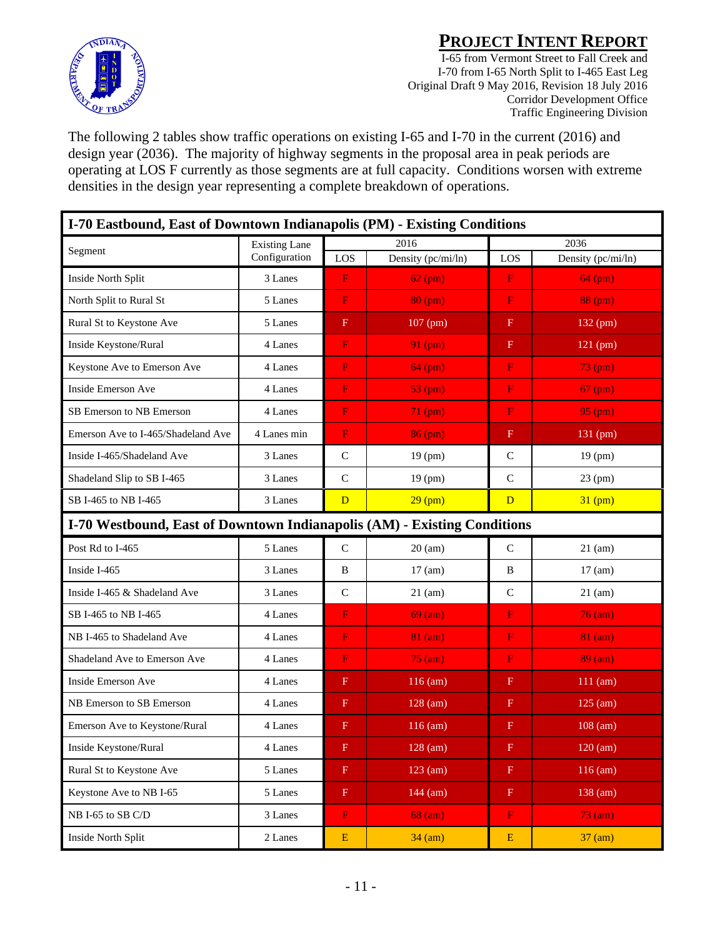

I-65 from Vermont Street to Fall Creek and I-70 from I-65 North Split to I-465 East Leg Original Draft 9 May 2016, Revision 18 July 2016 Corridor Development Office Traffic Engineering Division

The following 2 tables show traffic operations on existing I-65 and I-70 in the current (2016) and design year (2036). The majority of highway segments in the proposal area in peak periods are operating at LOS F currently as those segments are at full capacity. Conditions worsen with extreme densities in the design year representing a complete breakdown of operations.

| I-70 Eastbound, East of Downtown Indianapolis (PM) - Existing Conditions |                      |                           |                    |               |                      |  |  |
|--------------------------------------------------------------------------|----------------------|---------------------------|--------------------|---------------|----------------------|--|--|
|                                                                          | <b>Existing Lane</b> |                           | 2016               |               | 2036                 |  |  |
| Segment                                                                  | Configuration        | LOS                       | Density (pc/mi/ln) | LOS           | Density (pc/mi/ln)   |  |  |
| Inside North Split                                                       | 3 Lanes              | $\mathbf F$               | $62$ (pm)          | F             | $64$ (pm)            |  |  |
| North Split to Rural St                                                  | 5 Lanes              | $\mathbf F$               | 80 (pm)            | F             | 88(pm)               |  |  |
| Rural St to Keystone Ave                                                 | 5 Lanes              | $\mathbf F$               | 107 (pm)           | $\mathbf F$   | 132 (pm)             |  |  |
| Inside Keystone/Rural                                                    | 4 Lanes              | $\mathbf F$               | $91$ (pm)          | $\mathbf F$   | 121 (pm)             |  |  |
| Keystone Ave to Emerson Ave                                              | 4 Lanes              | F                         | $64$ (pm)          | F             | $73$ (pm)            |  |  |
| Inside Emerson Ave                                                       | 4 Lanes              | F                         | $53$ (pm)          | F             | $67$ (pm)            |  |  |
| SB Emerson to NB Emerson                                                 | 4 Lanes              | F                         | $71$ (pm)          | F             | $95 \overline{(pm)}$ |  |  |
| Emerson Ave to I-465/Shadeland Ave                                       | 4 Lanes min          | ${\bf F}$                 | $86$ (pm)          | F             | 131 (pm)             |  |  |
| Inside I-465/Shadeland Ave                                               | 3 Lanes              | $\mathbf C$               | $19$ (pm)          | $\mathsf{C}$  | 19 (pm)              |  |  |
| Shadeland Slip to SB I-465                                               | 3 Lanes              | $\mathsf{C}$              | 19 (pm)            | $\mathbf C$   | $23$ (pm)            |  |  |
| SB I-465 to NB I-465                                                     | 3 Lanes              | D                         | $29$ (pm)          | D             | $31$ (pm)            |  |  |
| I-70 Westbound, East of Downtown Indianapolis (AM) - Existing Conditions |                      |                           |                    |               |                      |  |  |
| Post Rd to I-465                                                         | 5 Lanes              | $\mathcal{C}$             | $20 \text{ (am)}$  | $\mathcal{C}$ | $21$ (am)            |  |  |
| Inside I-465                                                             | 3 Lanes              | B                         | $17 \text{ (am)}$  | B             | $17 \text{ (am)}$    |  |  |
| Inside I-465 & Shadeland Ave                                             | 3 Lanes              | $\mathcal{C}$             | $21$ (am)          | $\mathbf C$   | $21$ (am)            |  |  |
| SB I-465 to NB I-465                                                     | 4 Lanes              | ${\bf F}$                 | $69$ (am)          | $\mathbf F$   | $76$ (am)            |  |  |
| NB I-465 to Shadeland Ave                                                | 4 Lanes              | F                         | $81$ (am)          | F             | $81$ (am)            |  |  |
| Shadeland Ave to Emerson Ave                                             | 4 Lanes              | $\mathbf F$               | $75 \text{ (am)}$  | F             | $89 \text{ (am)}$    |  |  |
| Inside Emerson Ave                                                       | 4 Lanes              | $\mathbf F$               | $116$ (am)         | F             | $111$ (am)           |  |  |
| NB Emerson to SB Emerson                                                 | 4 Lanes              | $\mathbf F$               | $128$ (am)         | $_{\rm F}$    | $125$ (am)           |  |  |
| Emerson Ave to Keystone/Rural                                            | 4 Lanes              | $\mathbf F$               | $116$ (am)         | F             | $108$ (am)           |  |  |
| Inside Keystone/Rural                                                    | 4 Lanes              | $\boldsymbol{\mathrm{F}}$ | $128$ (am)         | $\mathbf{F}$  | $120$ (am)           |  |  |
| Rural St to Keystone Ave                                                 | 5 Lanes              | $\mathbf F$               | $123$ (am)         | $\mathbf F$   | $116$ (am)           |  |  |
| Keystone Ave to NB I-65                                                  | 5 Lanes              | $\mathbf F$               | $144$ (am)         | $\mathbf F$   | 138 (am)             |  |  |
| NB I-65 to SB C/D                                                        | 3 Lanes              | $\mathbf F$               | $68$ (am)          | $\mathbf F$   | $73$ (am)            |  |  |
| Inside North Split                                                       | 2 Lanes              | ${\bf E}$                 | $34 \text{ (am)}$  | ${\bf E}$     | $37 \text{ (am)}$    |  |  |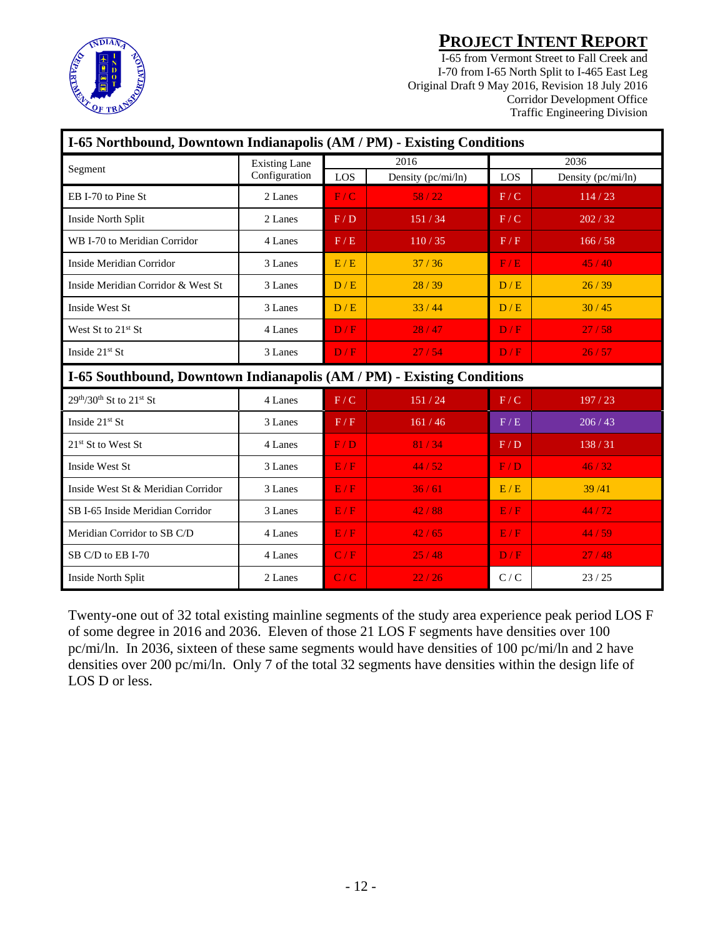

I-65 from Vermont Street to Fall Creek and I-70 from I-65 North Split to I-465 East Leg Original Draft 9 May 2016, Revision 18 July 2016 Corridor Development Office Traffic Engineering Division

| I-65 Northbound, Downtown Indianapolis (AM / PM) - Existing Conditions |                      |     |                    |                   |                    |  |  |  |
|------------------------------------------------------------------------|----------------------|-----|--------------------|-------------------|--------------------|--|--|--|
| Segment                                                                | <b>Existing Lane</b> |     | 2016               |                   | 2036               |  |  |  |
|                                                                        | Configuration        | LOS | Density (pc/mi/ln) | LOS               | Density (pc/mi/ln) |  |  |  |
| EB I-70 to Pine St                                                     | 2 Lanes              | F/C | 58/22              | F/C               | 114/23             |  |  |  |
| Inside North Split                                                     | 2 Lanes              | F/D | 151/34             | F/C               | 202 / 32           |  |  |  |
| WB I-70 to Meridian Corridor                                           | 4 Lanes              | F/E | 110/35             | F/F               | 166/58             |  |  |  |
| Inside Meridian Corridor                                               | 3 Lanes              | E/E | 37/36              | F/E               | 45/40              |  |  |  |
| Inside Meridian Corridor & West St                                     | 3 Lanes              | D/E | 28/39              | D/E               | 26/39              |  |  |  |
| <b>Inside West St</b>                                                  | 3 Lanes              | D/E | 33/44              | D/E               | 30/45              |  |  |  |
| West St to $21st$ St                                                   | 4 Lanes              | D/F | 28/47              | D/F               | 27/58              |  |  |  |
| Inside 21st St                                                         | 3 Lanes              | D/F | 27/54              | D/F               | 26/57              |  |  |  |
| I-65 Southbound, Downtown Indianapolis (AM / PM) - Existing Conditions |                      |     |                    |                   |                    |  |  |  |
| $29th/30th$ St to $21st$ St                                            | 4 Lanes              | F/C | 151/24             | F/C               | 197 / 23           |  |  |  |
| Inside $21st$ St                                                       | 3 Lanes              | F/F | 161/46             | $\rm F$ / $\rm E$ | 206/43             |  |  |  |
| $21st$ St to West St                                                   | 4 Lanes              | F/D | 81/34              | F/D               | 138/31             |  |  |  |
| Inside West St                                                         | 3 Lanes              | E/F | 44/52              | F/D               | 46/32              |  |  |  |
| Inside West St & Meridian Corridor                                     | 3 Lanes              | E/F | 36/61              | E/E               | 39/41              |  |  |  |
| SB I-65 Inside Meridian Corridor                                       | 3 Lanes              | E/F | 42/88              | E/F               | 44/72              |  |  |  |
| Meridian Corridor to SB C/D                                            | 4 Lanes              | E/F | 42/65              | E/F               | 44/59              |  |  |  |
| SB C/D to EB I-70                                                      | 4 Lanes              | C/F | 25/48              | D/F               | 27/48              |  |  |  |
| Inside North Split                                                     | 2 Lanes              | C/C | 22/26              | C/C               | 23/25              |  |  |  |

Twenty-one out of 32 total existing mainline segments of the study area experience peak period LOS F of some degree in 2016 and 2036. Eleven of those 21 LOS F segments have densities over 100 pc/mi/ln. In 2036, sixteen of these same segments would have densities of 100 pc/mi/ln and 2 have densities over 200 pc/mi/ln. Only 7 of the total 32 segments have densities within the design life of LOS D or less.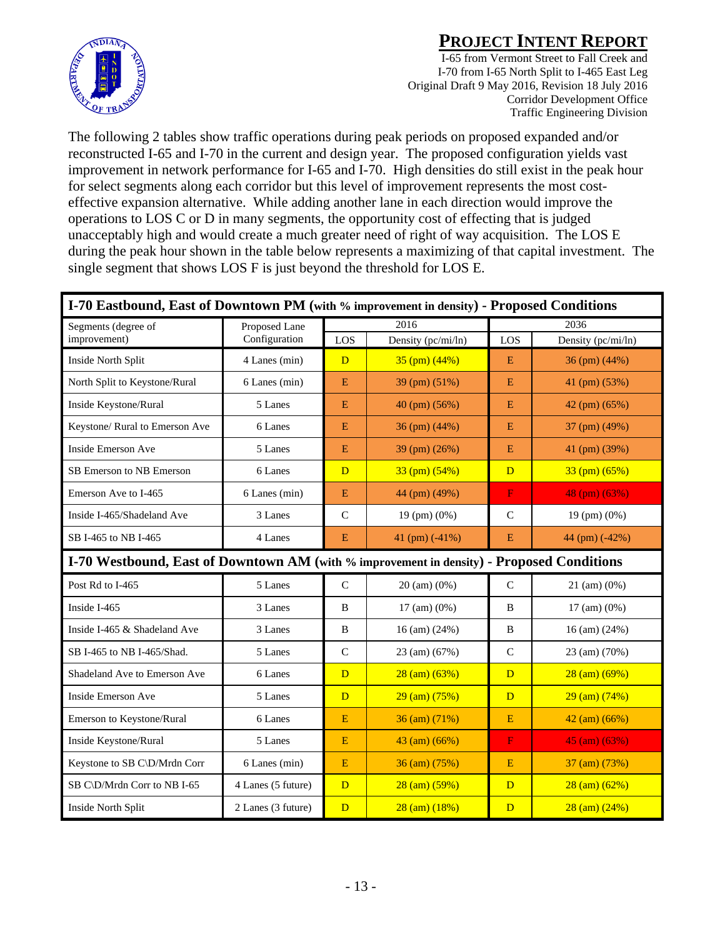

I-65 from Vermont Street to Fall Creek and I-70 from I-65 North Split to I-465 East Leg Original Draft 9 May 2016, Revision 18 July 2016 Corridor Development Office Traffic Engineering Division

The following 2 tables show traffic operations during peak periods on proposed expanded and/or reconstructed I-65 and I-70 in the current and design year. The proposed configuration yields vast improvement in network performance for I-65 and I-70. High densities do still exist in the peak hour for select segments along each corridor but this level of improvement represents the most costeffective expansion alternative. While adding another lane in each direction would improve the operations to LOS C or D in many segments, the opportunity cost of effecting that is judged unacceptably high and would create a much greater need of right of way acquisition. The LOS E during the peak hour shown in the table below represents a maximizing of that capital investment. The single segment that shows LOS F is just beyond the threshold for LOS E.

| I-70 Eastbound, East of Downtown PM (with % improvement in density) - Proposed Conditions |                    |                |                          |                         |                          |  |  |
|-------------------------------------------------------------------------------------------|--------------------|----------------|--------------------------|-------------------------|--------------------------|--|--|
| Segments (degree of                                                                       | Proposed Lane      |                | 2016                     |                         | 2036                     |  |  |
| improvement)                                                                              | Configuration      | LOS            | Density (pc/mi/ln)       | LOS                     | Density (pc/mi/ln)       |  |  |
| Inside North Split                                                                        | 4 Lanes (min)      | D              | $35$ (pm) $(44%)$        | E                       | 36 (pm) (44%)            |  |  |
| North Split to Keystone/Rural                                                             | 6 Lanes (min)      | ${\bf E}$      | 39 (pm) (51%)            | E                       | 41 (pm) (53%)            |  |  |
| Inside Keystone/Rural                                                                     | 5 Lanes            | E              | 40 (pm) (56%)            | E                       | 42 (pm) (65%)            |  |  |
| Keystone/ Rural to Emerson Ave                                                            | 6 Lanes            | E              | 36 (pm) (44%)            | E                       | 37 (pm) (49%)            |  |  |
| <b>Inside Emerson Ave</b>                                                                 | 5 Lanes            | E              | 39 (pm) (26%)            | E                       | 41 (pm) (39%)            |  |  |
| SB Emerson to NB Emerson                                                                  | 6 Lanes            | D              | 33 (pm) (54%)            | D                       | 33 (pm) (65%)            |  |  |
| Emerson Ave to I-465                                                                      | 6 Lanes (min)      | E              | 44 (pm) (49%)            | $\overline{\mathbf{F}}$ | 48 (pm) (63%)            |  |  |
| Inside I-465/Shadeland Ave                                                                | 3 Lanes            | $\mathsf{C}$   | $19 \text{ (pm)} (0\%)$  | $\mathbf C$             | $19$ (pm) $(0\%)$        |  |  |
| SB I-465 to NB I-465<br>4 Lanes                                                           |                    | E              | 41 $(pm)$ (-41%)         | E                       | 44 (pm) (-42%)           |  |  |
| I-70 Westbound, East of Downtown AM (with % improvement in density) - Proposed Conditions |                    |                |                          |                         |                          |  |  |
| Post Rd to I-465                                                                          | 5 Lanes            | $\mathbf C$    | $20 \text{ (am)} (0\%)$  | $\overline{C}$          | $21 \text{ (am)} (0\%)$  |  |  |
| Inside I-465                                                                              | 3 Lanes            | B              | $17 \text{ (am)} (0\%)$  | B                       | $17 \text{ (am)} (0\%)$  |  |  |
| Inside I-465 & Shadeland Ave                                                              | 3 Lanes            | B              | $16 \text{ (am)} (24\%)$ | B                       | $16 \text{ (am)} (24\%)$ |  |  |
| SB I-465 to NB I-465/Shad.                                                                | 5 Lanes            | $\mathbf C$    | 23 (am) (67%)            | $\mathsf{C}$            | 23 (am) (70%)            |  |  |
| Shadeland Ave to Emerson Ave                                                              | 6 Lanes            | $\overline{D}$ | $28 \text{ (am)} (63\%)$ | D                       | $28 \text{ (am)} (69\%)$ |  |  |
| <b>Inside Emerson Ave</b>                                                                 | 5 Lanes            | D              | $29 \text{ (am)} (75\%)$ | D                       | $29 \text{ (am)} (74\%)$ |  |  |
| Emerson to Keystone/Rural                                                                 | 6 Lanes            | $\mathbf E$    | $36 \text{ (am)} (71\%)$ | E                       | $42 \text{ (am)} (66\%)$ |  |  |
| Inside Keystone/Rural                                                                     | 5 Lanes            | $\mathbf E$    | 43 (am) (66%)            | $\mathbf F$             | $45 \text{ (am)} (63\%)$ |  |  |
| Keystone to SB C\D/Mrdn Corr                                                              | 6 Lanes (min)      | ${\bf E}$      | $36 \text{ (am)} (75\%)$ | ${\bf E}$               | 37 (am) (73%)            |  |  |
| SB C\D/Mrdn Corr to NB I-65                                                               | 4 Lanes (5 future) | $\overline{D}$ | $28 \text{ (am)} (59\%)$ | D                       | $28 \text{ (am)} (62\%)$ |  |  |
| Inside North Split                                                                        | 2 Lanes (3 future) | D              | $28 \text{ (am)} (18\%)$ | D                       | $28 \text{ (am)} (24\%)$ |  |  |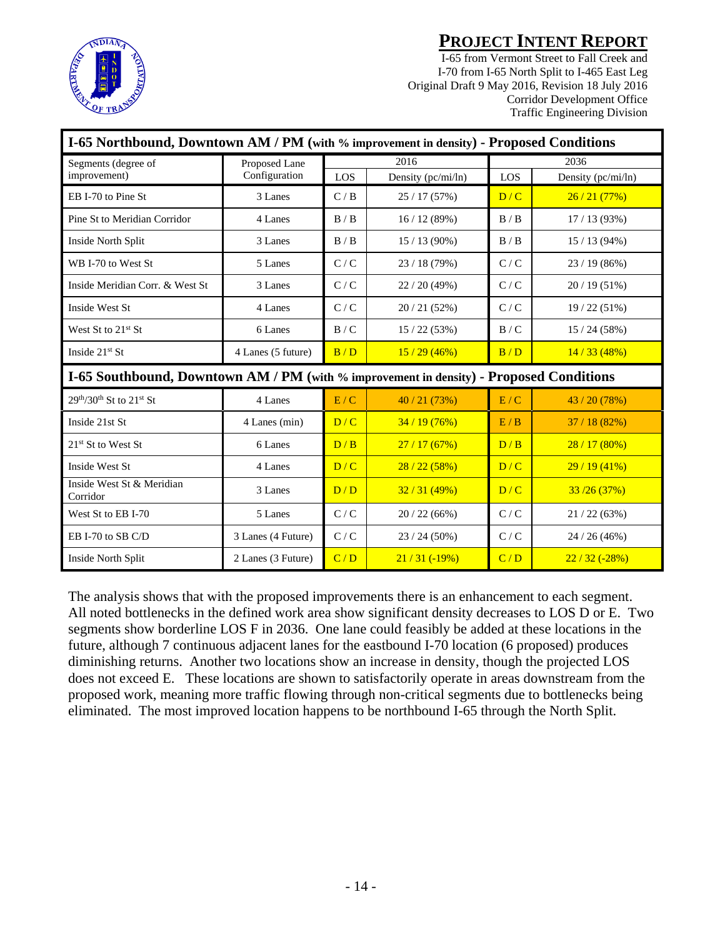

I-65 from Vermont Street to Fall Creek and I-70 from I-65 North Split to I-465 East Leg Original Draft 9 May 2016, Revision 18 July 2016 Corridor Development Office Traffic Engineering Division

| I-65 Northbound, Downtown AM / PM (with % improvement in density) - Proposed Conditions |                    |       |                    |                             |                    |  |  |  |
|-----------------------------------------------------------------------------------------|--------------------|-------|--------------------|-----------------------------|--------------------|--|--|--|
| Segments (degree of                                                                     | Proposed Lane      |       | 2016               | 2036                        |                    |  |  |  |
| improvement)                                                                            | Configuration      | LOS   | Density (pc/mi/ln) | LOS                         | Density (pc/mi/ln) |  |  |  |
| EB I-70 to Pine St                                                                      | 3 Lanes            | C/B   | 25/17(57%)         | D/C                         | 26/21(77%)         |  |  |  |
| Pine St to Meridian Corridor                                                            | 4 Lanes            | B/B   | 16/12(89%)         | B/B                         | 17/13(93%)         |  |  |  |
| Inside North Split                                                                      | 3 Lanes            | B / B | $15/13(90\%)$      | B/B                         | $15/13(94\%)$      |  |  |  |
| WB I-70 to West St                                                                      | 5 Lanes            | C/C   | 23/18(79%)         | C/C                         | $23/19(86\%)$      |  |  |  |
| Inside Meridian Corr. & West St.                                                        | 3 Lanes            | C/C   | 22/20(49%)         | $\mathbf{C}$ / $\mathbf{C}$ | $20/19(51\%)$      |  |  |  |
| Inside West St                                                                          | 4 Lanes            | C/C   | 20/21(52%)         | C/C                         | 19/22(51%)         |  |  |  |
| West St to $21st$ St                                                                    | 6 Lanes            | B/C   | 15/22(53%)         | B/C                         | 15/24(58%)         |  |  |  |
| Inside $21st$ St                                                                        | 4 Lanes (5 future) |       | 15/29(46%)         | B/D                         | 14/33(48%)         |  |  |  |
| I-65 Southbound, Downtown AM / PM (with % improvement in density) - Proposed Conditions |                    |       |                    |                             |                    |  |  |  |
| $29th/30th$ St to $21st$ St                                                             | 4 Lanes            | E/C   | 40/21(73%)         | E/C                         | 43 / 20 (78%)      |  |  |  |
| Inside 21st St                                                                          | 4 Lanes (min)      | D/C   | 34/19(76%)         | E/B                         | 37/18(82%)         |  |  |  |
| 21 <sup>st</sup> St to West St                                                          | 6 Lanes            | D/B   | 27/17(67%)         | D/B                         | 28/17(80%)         |  |  |  |
| Inside West St                                                                          | 4 Lanes            | D/C   | 28/22(58%)         | D/C                         | 29/19(41%)         |  |  |  |
| Inside West St & Meridian<br>Corridor                                                   | 3 Lanes            | D/D   | 32/31(49%)         | D/C                         | 33/26(37%)         |  |  |  |
| West St to EB I-70                                                                      | 5 Lanes            | C/C   | 20/22(66%)         | C/C                         | 21/22(63%)         |  |  |  |
| EB I-70 to SB C/D                                                                       | 3 Lanes (4 Future) | C/C   | $23/24(50\%)$      | C/C                         | 24/26(46%)         |  |  |  |
| Inside North Split                                                                      | 2 Lanes (3 Future) | C/D   | $21/31$ (-19%)     | C/D                         | $22/32(-28%)$      |  |  |  |

The analysis shows that with the proposed improvements there is an enhancement to each segment. All noted bottlenecks in the defined work area show significant density decreases to LOS D or E. Two segments show borderline LOS F in 2036. One lane could feasibly be added at these locations in the future, although 7 continuous adjacent lanes for the eastbound I-70 location (6 proposed) produces diminishing returns. Another two locations show an increase in density, though the projected LOS does not exceed E. These locations are shown to satisfactorily operate in areas downstream from the proposed work, meaning more traffic flowing through non-critical segments due to bottlenecks being eliminated. The most improved location happens to be northbound I-65 through the North Split.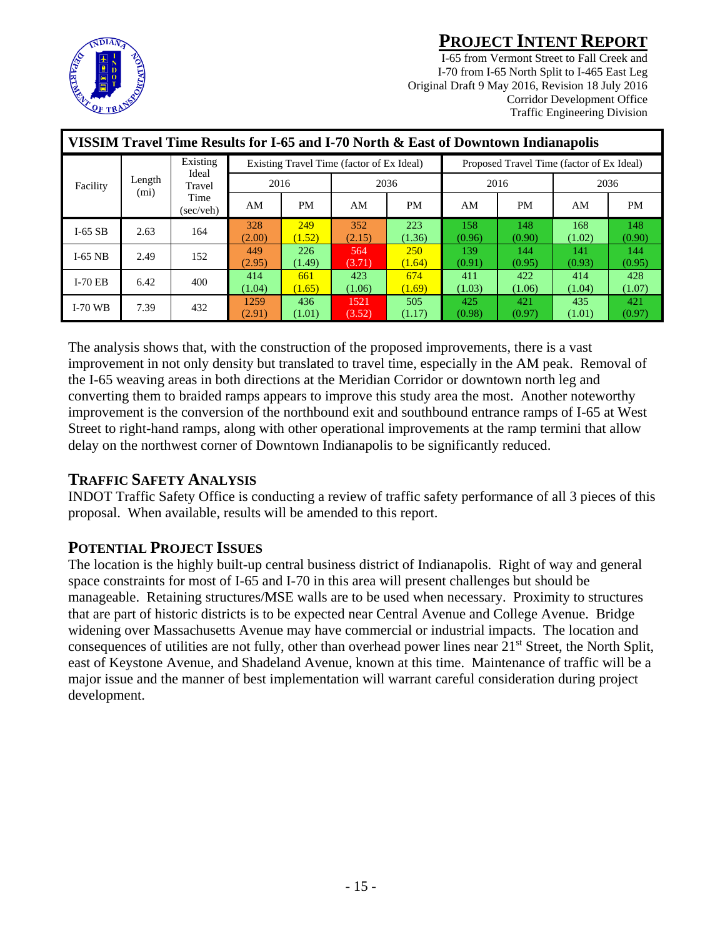

I-65 from Vermont Street to Fall Creek and I-70 from I-65 North Split to I-465 East Leg Original Draft 9 May 2016, Revision 18 July 2016 Corridor Development Office Traffic Engineering Division

| VISSIM Travel Time Results for I-65 and I-70 North & East of Downtown Indianapolis |           |      |                |                                           |                |                                           |               |               |               |               |
|------------------------------------------------------------------------------------|-----------|------|----------------|-------------------------------------------|----------------|-------------------------------------------|---------------|---------------|---------------|---------------|
| Ideal<br>Length<br>Facility<br>Travel<br>(m <sub>i</sub> )<br>Time                 | Existing  |      |                | Existing Travel Time (factor of Ex Ideal) |                | Proposed Travel Time (factor of Ex Ideal) |               |               |               |               |
|                                                                                    |           | 2016 |                | 2036                                      |                | 2016                                      |               | 2036          |               |               |
|                                                                                    | (sec/veh) | AM   | <b>PM</b>      | AM                                        | <b>PM</b>      | AM                                        | PM.           | AM            | <b>PM</b>     |               |
| $I-65$ SB                                                                          | 2.63      | 164  | 328<br>(2.00)  | 249<br>(1.52)                             | 352<br>(2.15)  | 223<br>(1.36)                             | 158<br>(0.96) | 148<br>(0.90) | 168<br>(1.02) | 148<br>(0.90) |
| $I-65$ NB                                                                          | 2.49      | 152  | 449<br>(2.95)  | 226<br>(1.49)                             | 564<br>(3.71)  | <b>250</b><br>(1.64)                      | 139<br>(0.91) | 144<br>(0.95) | 141<br>(0.93) | 144<br>(0.95) |
| $I-70$ EB                                                                          | 6.42      | 400  | 414<br>(1.04)  | 661<br>(1.65)                             | 423<br>(1.06)  | 674<br>(1.69)                             | 411<br>(1.03) | 422<br>(1.06) | 414<br>(1.04) | 428<br>(1.07) |
| $I-70$ WB                                                                          | 7.39      | 432  | 1259<br>(2.91) | 436<br>(1.01)                             | 1521<br>(3.52) | 505<br>(1.17)                             | 425<br>(0.98) | 421<br>(0.97) | 435<br>(1.01) | 421<br>(0.97) |

The analysis shows that, with the construction of the proposed improvements, there is a vast improvement in not only density but translated to travel time, especially in the AM peak. Removal of the I-65 weaving areas in both directions at the Meridian Corridor or downtown north leg and converting them to braided ramps appears to improve this study area the most. Another noteworthy improvement is the conversion of the northbound exit and southbound entrance ramps of I-65 at West Street to right-hand ramps, along with other operational improvements at the ramp termini that allow delay on the northwest corner of Downtown Indianapolis to be significantly reduced.

#### **TRAFFIC SAFETY ANALYSIS**

INDOT Traffic Safety Office is conducting a review of traffic safety performance of all 3 pieces of this proposal. When available, results will be amended to this report.

### **POTENTIAL PROJECT ISSUES**

The location is the highly built-up central business district of Indianapolis. Right of way and general space constraints for most of I-65 and I-70 in this area will present challenges but should be manageable. Retaining structures/MSE walls are to be used when necessary. Proximity to structures that are part of historic districts is to be expected near Central Avenue and College Avenue. Bridge widening over Massachusetts Avenue may have commercial or industrial impacts. The location and consequences of utilities are not fully, other than overhead power lines near  $21<sup>st</sup>$  Street, the North Split, east of Keystone Avenue, and Shadeland Avenue, known at this time. Maintenance of traffic will be a major issue and the manner of best implementation will warrant careful consideration during project development.